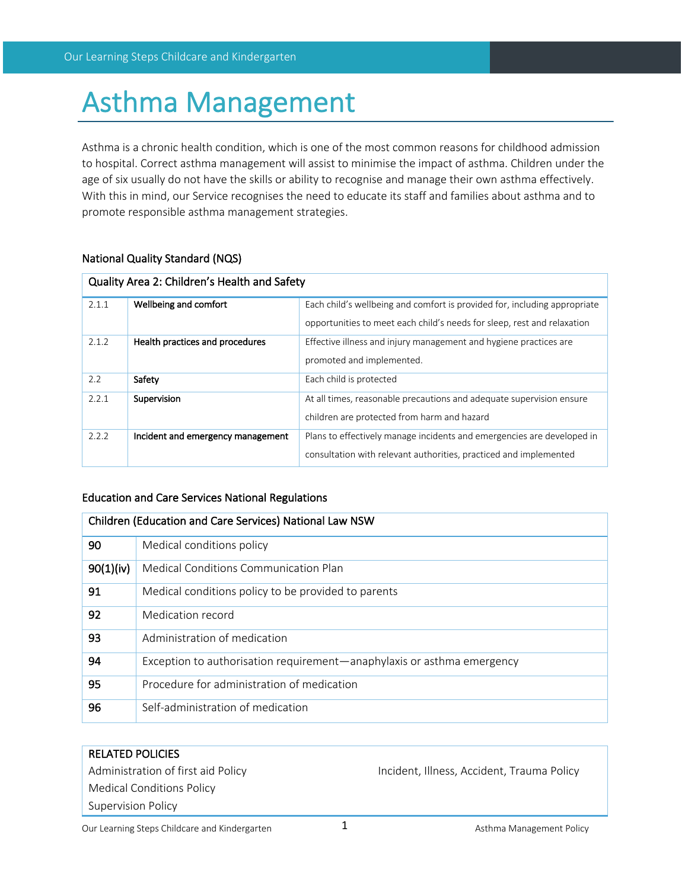# Asthma Management

Asthma is a chronic health condition, which is one of the most common reasons for childhood admission to hospital. Correct asthma management will assist to minimise the impact of asthma. Children under the age of six usually do not have the skills or ability to recognise and manage their own asthma effectively. With this in mind, our Service recognises the need to educate its staff and families about asthma and to promote responsible asthma management strategies.

# National Quality Standard (NQS)

| Quality Area 2: Children's Health and Safety |                                   |                                                                           |  |  |
|----------------------------------------------|-----------------------------------|---------------------------------------------------------------------------|--|--|
| 2.1.1                                        | Wellbeing and comfort             | Each child's wellbeing and comfort is provided for, including appropriate |  |  |
|                                              |                                   | opportunities to meet each child's needs for sleep, rest and relaxation   |  |  |
| 2.1.2                                        | Health practices and procedures   | Effective illness and injury management and hygiene practices are         |  |  |
|                                              |                                   | promoted and implemented.                                                 |  |  |
| 2.2                                          | Safety                            | Each child is protected                                                   |  |  |
| 2.2.1                                        | Supervision                       | At all times, reasonable precautions and adequate supervision ensure      |  |  |
|                                              |                                   | children are protected from harm and hazard                               |  |  |
| 2.2.2                                        | Incident and emergency management | Plans to effectively manage incidents and emergencies are developed in    |  |  |
|                                              |                                   | consultation with relevant authorities, practiced and implemented         |  |  |

# Education and Care Services National Regulations

| Children (Education and Care Services) National Law NSW |                                                                        |  |  |
|---------------------------------------------------------|------------------------------------------------------------------------|--|--|
| 90                                                      | Medical conditions policy                                              |  |  |
| 90(1)(iv)                                               | Medical Conditions Communication Plan                                  |  |  |
| 91                                                      | Medical conditions policy to be provided to parents                    |  |  |
| 92                                                      | Medication record                                                      |  |  |
| 93                                                      | Administration of medication                                           |  |  |
| 94                                                      | Exception to authorisation requirement—anaphylaxis or asthma emergency |  |  |
| 95                                                      | Procedure for administration of medication                             |  |  |
| 96                                                      | Self-administration of medication                                      |  |  |

# RELATED POLICIES Administration of first aid Policy **Incident, Illness, Accident, Trauma Policy** Medical Conditions Policy Supervision Policy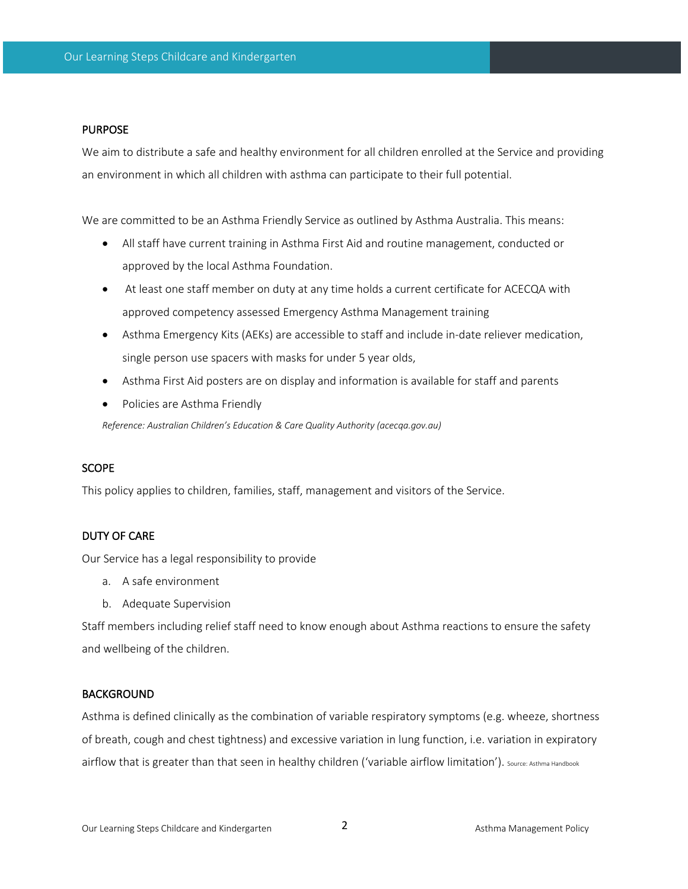#### PURPOSE

We aim to distribute a safe and healthy environment for all children enrolled at the Service and providing an environment in which all children with asthma can participate to their full potential.

We are committed to be an Asthma Friendly Service as outlined by Asthma Australia. This means:

- All staff have current training in Asthma First Aid and routine management, conducted or approved by the local Asthma Foundation.
- At least one staff member on duty at any time holds a current certificate for ACECQA with approved competency assessed Emergency Asthma Management training
- Asthma Emergency Kits (AEKs) are accessible to staff and include in-date reliever medication, single person use spacers with masks for under 5 year olds,
- Asthma First Aid posters are on display and information is available for staff and parents
- Policies are Asthma Friendly

*Reference: Australian Children's Education & Care Quality Authority (acecqa.gov.au)*

#### **SCOPE**

This policy applies to children, families, staff, management and visitors of the Service.

#### DUTY OF CARE

Our Service has a legal responsibility to provide

- a. A safe environment
- b. Adequate Supervision

Staff members including relief staff need to know enough about Asthma reactions to ensure the safety and wellbeing of the children.

#### **BACKGROUND**

Asthma is defined clinically as the combination of variable respiratory symptoms (e.g. wheeze, shortness of breath, cough and chest tightness) and excessive variation in lung function, i.e. variation in expiratory airflow that is greater than that seen in healthy children ('variable airflow limitation'). Source: Asthma Handbook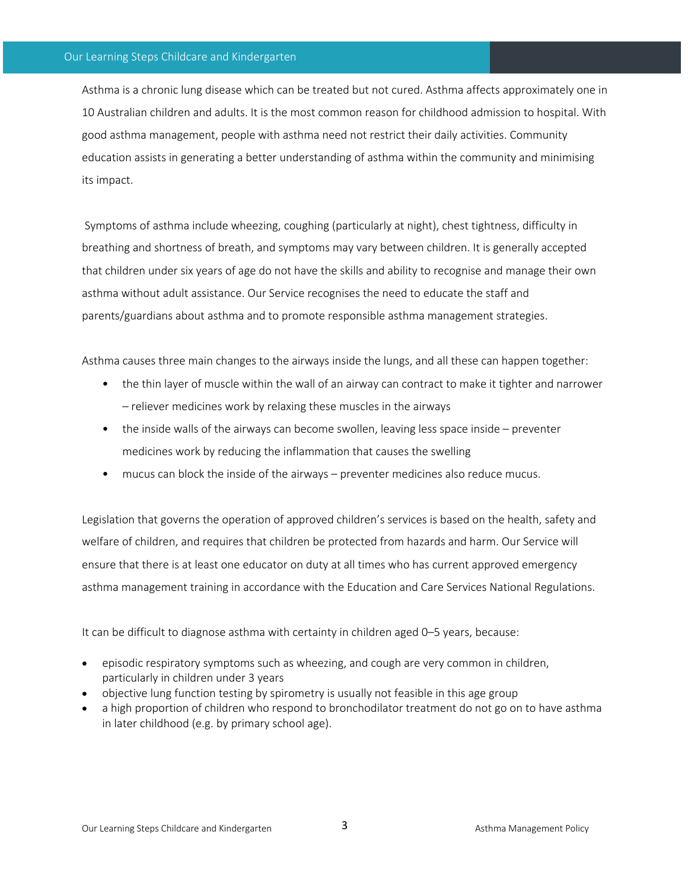Asthma is a chronic lung disease which can be treated but not cured. Asthma affects approximately one in 10 Australian children and adults. It is the most common reason for childhood admission to hospital. With good asthma management, people with asthma need not restrict their daily activities. Community education assists in generating a better understanding of asthma within the community and minimising its impact.

Symptoms of asthma include wheezing, coughing (particularly at night), chest tightness, difficulty in breathing and shortness of breath, and symptoms may vary between children. It is generally accepted that children under six years of age do not have the skills and ability to recognise and manage their own asthma without adult assistance. Our Service recognises the need to educate the staff and parents/guardians about asthma and to promote responsible asthma management strategies.

Asthma causes three main changes to the airways inside the lungs, and all these can happen together:

- the thin layer of muscle within the wall of an airway can contract to make it tighter and narrower – reliever medicines work by relaxing these muscles in the airways
- the inside walls of the airways can become swollen, leaving less space inside preventer medicines work by reducing the inflammation that causes the swelling
- mucus can block the inside of the airways preventer medicines also reduce mucus.

Legislation that governs the operation of approved children's services is based on the health, safety and welfare of children, and requires that children be protected from hazards and harm. Our Service will ensure that there is at least one educator on duty at all times who has current approved emergency asthma management training in accordance with the Education and Care Services National Regulations.

It can be difficult to diagnose asthma with certainty in children aged 0–5 years, because:

- episodic respiratory symptoms such as wheezing, and cough are very common in children, particularly in children under 3 years
- objective lung function testing by spirometry is usually not feasible in this age group
- a high proportion of children who respond to bronchodilator treatment do not go on to have asthma in later childhood (e.g. by primary school age).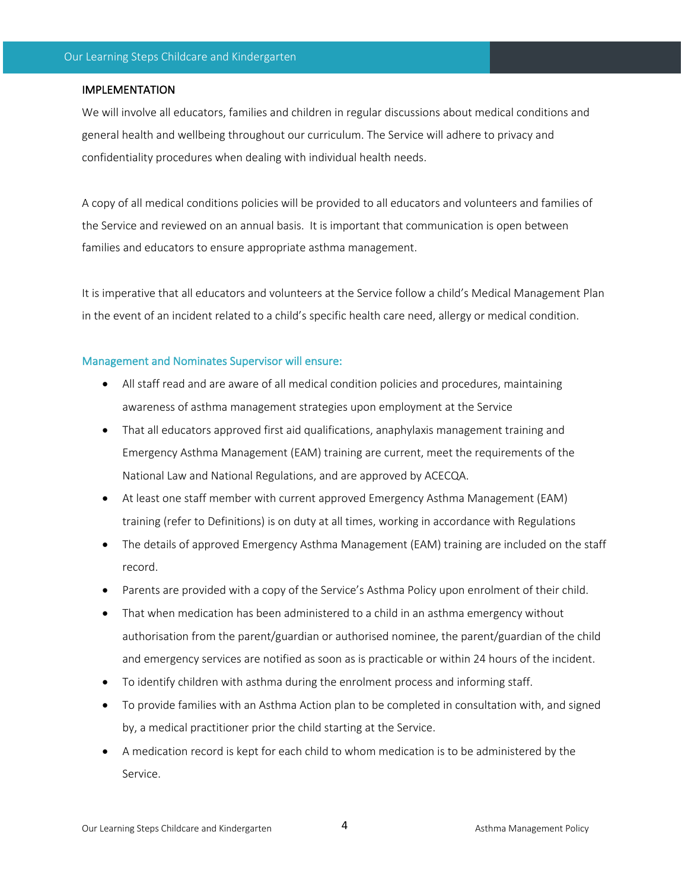## IMPLEMENTATION

We will involve all educators, families and children in regular discussions about medical conditions and general health and wellbeing throughout our curriculum. The Service will adhere to privacy and confidentiality procedures when dealing with individual health needs.

A copy of all medical conditions policies will be provided to all educators and volunteers and families of the Service and reviewed on an annual basis. It is important that communication is open between families and educators to ensure appropriate asthma management.

It is imperative that all educators and volunteers at the Service follow a child's Medical Management Plan in the event of an incident related to a child's specific health care need, allergy or medical condition.

#### Management and Nominates Supervisor will ensure:

- All staff read and are aware of all medical condition policies and procedures, maintaining awareness of asthma management strategies upon employment at the Service
- That all educators approved first aid qualifications, anaphylaxis management training and Emergency Asthma Management (EAM) training are current, meet the requirements of the National Law and National Regulations, and are approved by ACECQA.
- At least one staff member with current approved Emergency Asthma Management (EAM) training (refer to Definitions) is on duty at all times, working in accordance with Regulations
- The details of approved Emergency Asthma Management (EAM) training are included on the staff record.
- Parents are provided with a copy of the Service's Asthma Policy upon enrolment of their child.
- That when medication has been administered to a child in an asthma emergency without authorisation from the parent/guardian or authorised nominee, the parent/guardian of the child and emergency services are notified as soon as is practicable or within 24 hours of the incident.
- To identify children with asthma during the enrolment process and informing staff.
- To provide families with an Asthma Action plan to be completed in consultation with, and signed by, a medical practitioner prior the child starting at the Service.
- A medication record is kept for each child to whom medication is to be administered by the Service.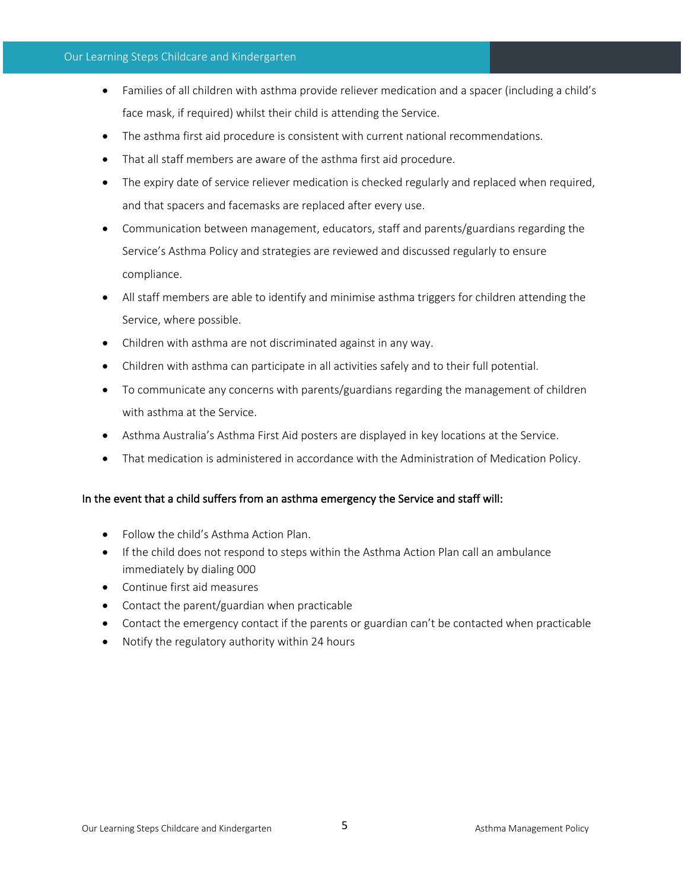#### Our Learning Steps Childcare and Kindergarten

- Families of all children with asthma provide reliever medication and a spacer (including a child's face mask, if required) whilst their child is attending the Service.
- The asthma first aid procedure is consistent with current national recommendations.
- That all staff members are aware of the asthma first aid procedure.
- The expiry date of service reliever medication is checked regularly and replaced when required, and that spacers and facemasks are replaced after every use.
- Communication between management, educators, staff and parents/guardians regarding the Service's Asthma Policy and strategies are reviewed and discussed regularly to ensure compliance.
- All staff members are able to identify and minimise asthma triggers for children attending the Service, where possible.
- Children with asthma are not discriminated against in any way.
- Children with asthma can participate in all activities safely and to their full potential.
- To communicate any concerns with parents/guardians regarding the management of children with asthma at the Service.
- Asthma Australia's Asthma First Aid posters are displayed in key locations at the Service.
- That medication is administered in accordance with the Administration of Medication Policy.

# In the event that a child suffers from an asthma emergency the Service and staff will:

- Follow the child's Asthma Action Plan.
- If the child does not respond to steps within the Asthma Action Plan call an ambulance immediately by dialing 000
- Continue first aid measures
- Contact the parent/guardian when practicable
- Contact the emergency contact if the parents or guardian can't be contacted when practicable
- Notify the regulatory authority within 24 hours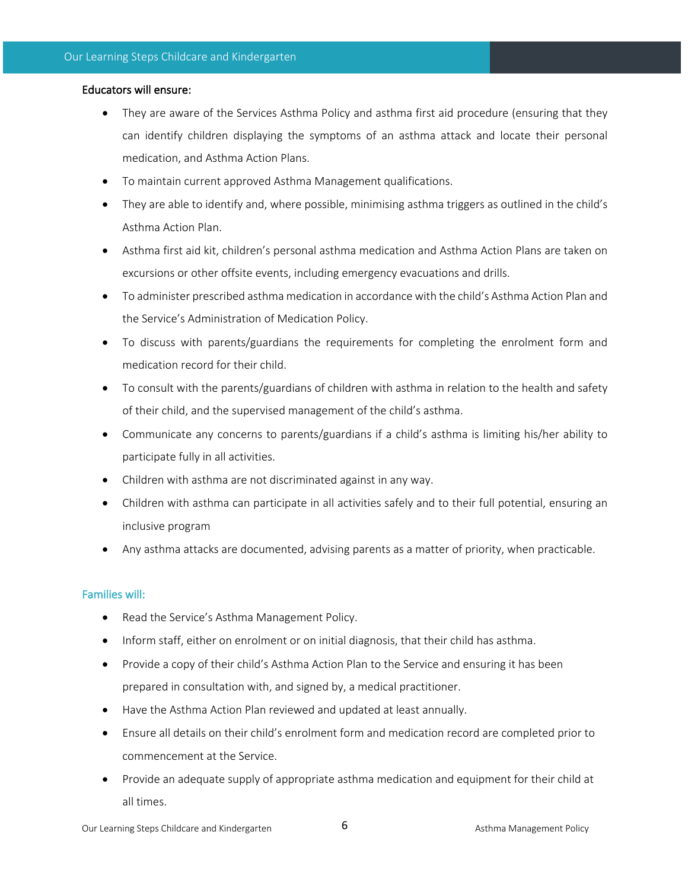# Educators will ensure:

- They are aware of the Services Asthma Policy and asthma first aid procedure (ensuring that they can identify children displaying the symptoms of an asthma attack and locate their personal medication, and Asthma Action Plans.
- To maintain current approved Asthma Management qualifications.
- They are able to identify and, where possible, minimising asthma triggers as outlined in the child's Asthma Action Plan.
- Asthma first aid kit, children's personal asthma medication and Asthma Action Plans are taken on excursions or other offsite events, including emergency evacuations and drills.
- To administer prescribed asthma medication in accordance with the child's Asthma Action Plan and the Service's Administration of Medication Policy.
- To discuss with parents/guardians the requirements for completing the enrolment form and medication record for their child.
- To consult with the parents/guardians of children with asthma in relation to the health and safety of their child, and the supervised management of the child's asthma.
- Communicate any concerns to parents/guardians if a child's asthma is limiting his/her ability to participate fully in all activities.
- Children with asthma are not discriminated against in any way.
- Children with asthma can participate in all activities safely and to their full potential, ensuring an inclusive program
- Any asthma attacks are documented, advising parents as a matter of priority, when practicable.

# Families will:

- Read the Service's Asthma Management Policy.
- Inform staff, either on enrolment or on initial diagnosis, that their child has asthma.
- Provide a copy of their child's Asthma Action Plan to the Service and ensuring it has been prepared in consultation with, and signed by, a medical practitioner.
- Have the Asthma Action Plan reviewed and updated at least annually.
- Ensure all details on their child's enrolment form and medication record are completed prior to commencement at the Service.
- Provide an adequate supply of appropriate asthma medication and equipment for their child at all times.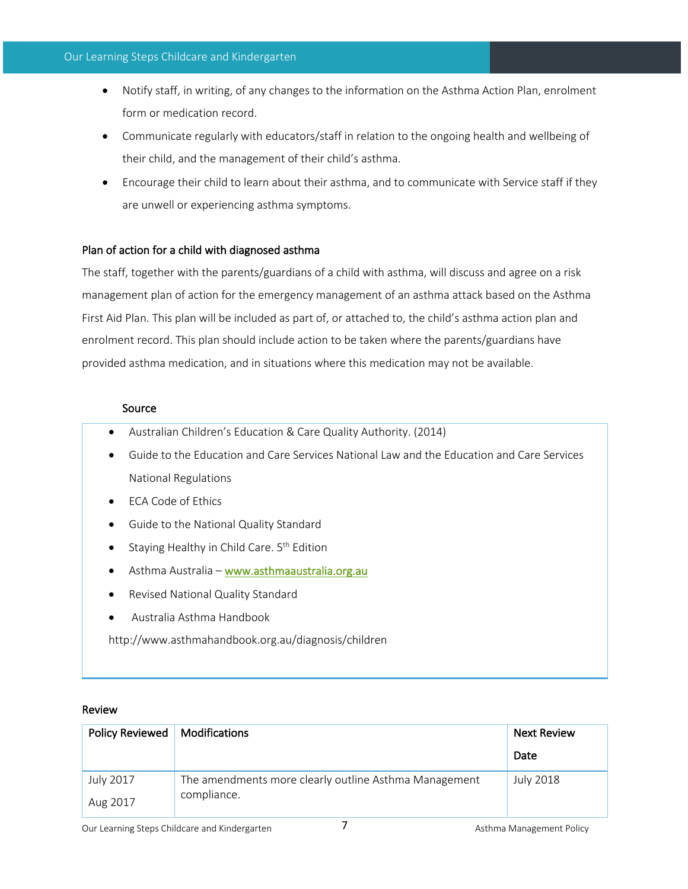#### Our Learning Steps Childcare and Kindergarten

- Notify staff, in writing, of any changes to the information on the Asthma Action Plan, enrolment form or medication record.
- Communicate regularly with educators/staff in relation to the ongoing health and wellbeing of their child, and the management of their child's asthma.
- Encourage their child to learn about their asthma, and to communicate with Service staff if they are unwell or experiencing asthma symptoms.

# Plan of action for a child with diagnosed asthma

The staff, together with the parents/guardians of a child with asthma, will discuss and agree on a risk management plan of action for the emergency management of an asthma attack based on the Asthma First Aid Plan. This plan will be included as part of, or attached to, the child's asthma action plan and enrolment record. This plan should include action to be taken where the parents/guardians have provided asthma medication, and in situations where this medication may not be available.

# Source

- Australian Children's Education & Care Quality Authority. (2014)
- Guide to the Education and Care Services National Law and the Education and Care Services National Regulations
- ECA Code of Ethics
- Guide to the National Quality Standard
- Staying Healthy in Child Care.  $5<sup>th</sup>$  Edition
- Asthma Australia www.asthmaaustralia.org.au
- Revised National Quality Standard
- Australia Asthma Handbook

http://www.asthmahandbook.org.au/diagnosis/children

## Review

| Policy Reviewed | Modifications                                         | Next Review      |
|-----------------|-------------------------------------------------------|------------------|
|                 |                                                       | Date             |
| July 2017       | The amendments more clearly outline Asthma Management | <b>July 2018</b> |
| Aug 2017        | compliance.                                           |                  |